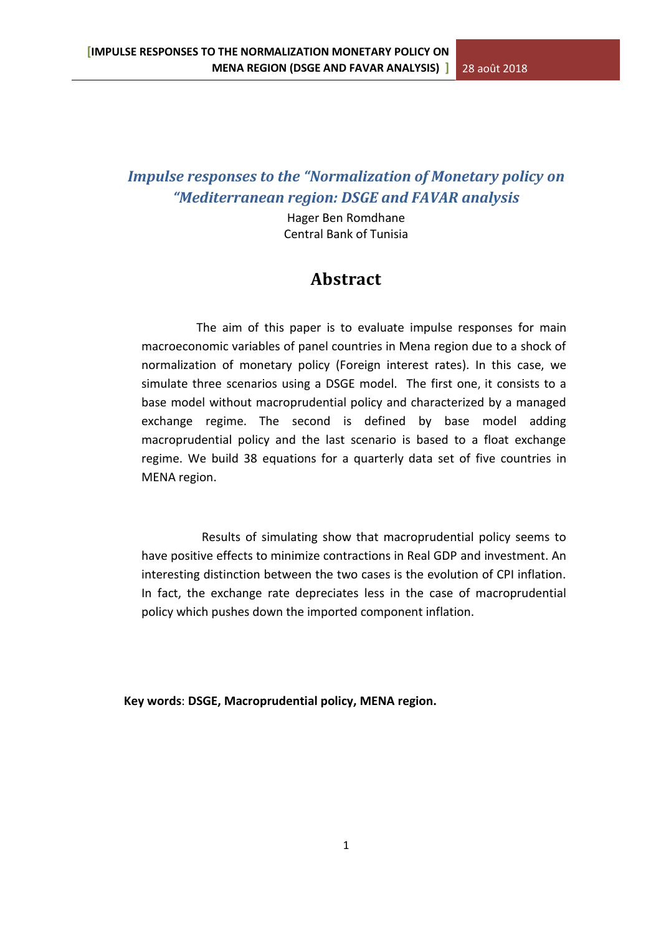# *Impulse responses to the "Normalization of Monetary policy on "Mediterranean region: DSGE and FAVAR analysis*

Hager Ben Romdhane Central Bank of Tunisia

# **Abstract**

 The aim of this paper is to evaluate impulse responses for main macroeconomic variables of panel countries in Mena region due to a shock of normalization of monetary policy (Foreign interest rates). In this case, we simulate three scenarios using a DSGE model. The first one, it consists to a base model without macroprudential policy and characterized by a managed exchange regime. The second is defined by base model adding macroprudential policy and the last scenario is based to a float exchange regime. We build 38 equations for a quarterly data set of five countries in MENA region.

 Results of simulating show that macroprudential policy seems to have positive effects to minimize contractions in Real GDP and investment. An interesting distinction between the two cases is the evolution of CPI inflation. In fact, the exchange rate depreciates less in the case of macroprudential policy which pushes down the imported component inflation.

 **Key words**: **DSGE, Macroprudential policy, MENA region.**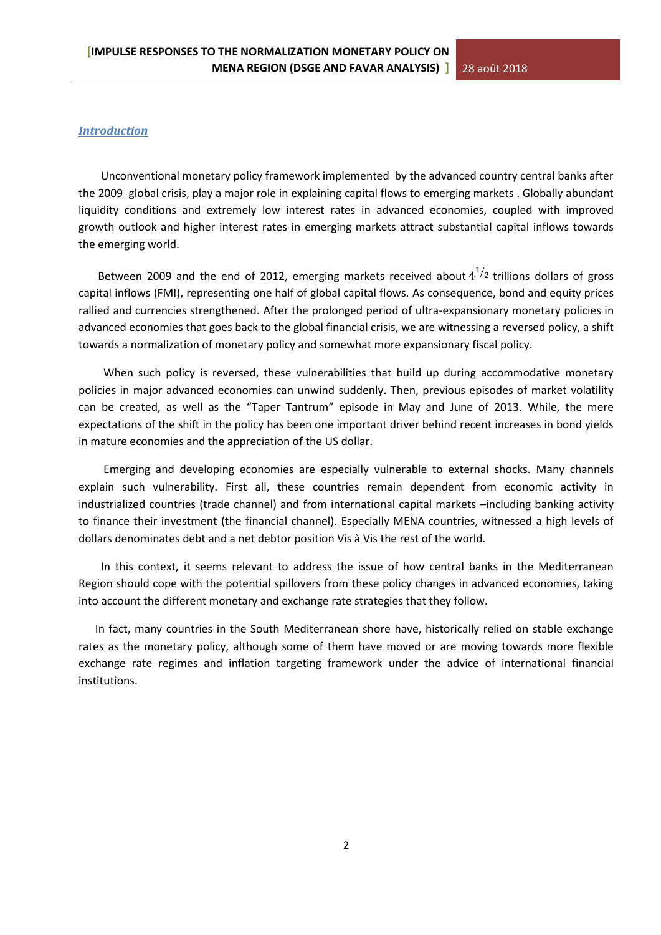# *Introduction*

 Unconventional monetary policy framework implemented by the advanced country central banks after the 2009 global crisis, play a major role in explaining capital flows to emerging markets . Globally abundant liquidity conditions and extremely low interest rates in advanced economies, coupled with improved growth outlook and higher interest rates in emerging markets attract substantial capital inflows towards the emerging world.

Between 2009 and the end of 2012, emerging markets received about  $4^{1/2}$  trillions dollars of gross capital inflows (FMI), representing one half of global capital flows. As consequence, bond and equity prices rallied and currencies strengthened. After the prolonged period of ultra-expansionary monetary policies in advanced economies that goes back to the global financial crisis, we are witnessing a reversed policy, a shift towards a normalization of monetary policy and somewhat more expansionary fiscal policy.

When such policy is reversed, these vulnerabilities that build up during accommodative monetary policies in major advanced economies can unwind suddenly. Then, previous episodes of market volatility can be created, as well as the "Taper Tantrum" episode in May and June of 2013. While, the mere expectations of the shift in the policy has been one important driver behind recent increases in bond yields in mature economies and the appreciation of the US dollar.

 Emerging and developing economies are especially vulnerable to external shocks. Many channels explain such vulnerability. First all, these countries remain dependent from economic activity in industrialized countries (trade channel) and from international capital markets –including banking activity to finance their investment (the financial channel). Especially MENA countries, witnessed a high levels of dollars denominates debt and a net debtor position Vis à Vis the rest of the world.

 In this context, it seems relevant to address the issue of how central banks in the Mediterranean Region should cope with the potential spillovers from these policy changes in advanced economies, taking into account the different monetary and exchange rate strategies that they follow.

 In fact, many countries in the South Mediterranean shore have, historically relied on stable exchange rates as the monetary policy, although some of them have moved or are moving towards more flexible exchange rate regimes and inflation targeting framework under the advice of international financial institutions.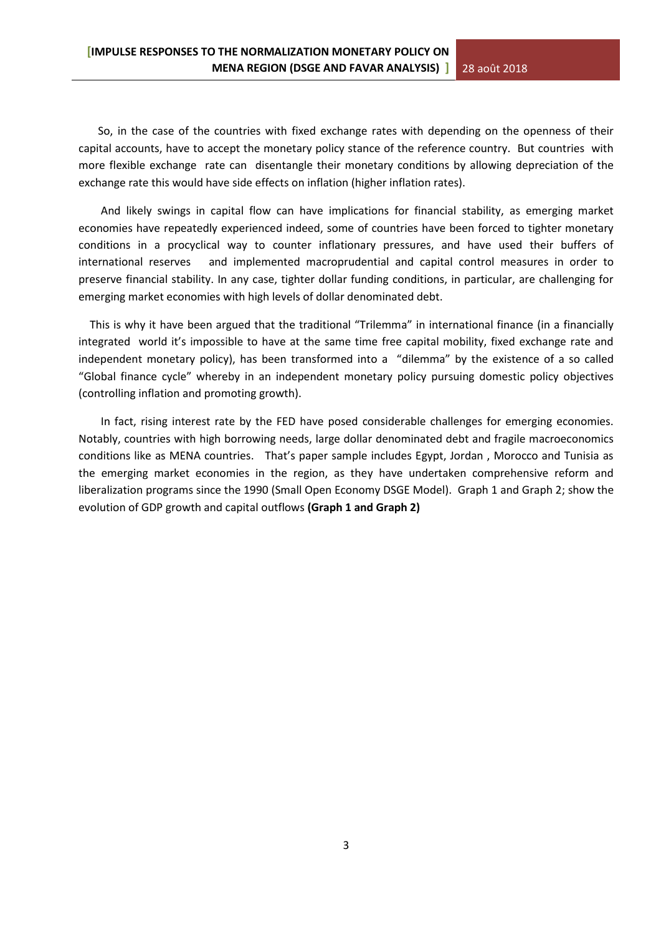So, in the case of the countries with fixed exchange rates with depending on the openness of their capital accounts, have to accept the monetary policy stance of the reference country. But countries with more flexible exchange rate can disentangle their monetary conditions by allowing depreciation of the exchange rate this would have side effects on inflation (higher inflation rates).

 And likely swings in capital flow can have implications for financial stability, as emerging market economies have repeatedly experienced indeed, some of countries have been forced to tighter monetary conditions in a procyclical way to counter inflationary pressures, and have used their buffers of international reserves and implemented macroprudential and capital control measures in order to preserve financial stability. In any case, tighter dollar funding conditions, in particular, are challenging for emerging market economies with high levels of dollar denominated debt.

 This is why it have been argued that the traditional "Trilemma" in international finance (in a financially integrated world it's impossible to have at the same time free capital mobility, fixed exchange rate and independent monetary policy), has been transformed into a "dilemma" by the existence of a so called "Global finance cycle" whereby in an independent monetary policy pursuing domestic policy objectives (controlling inflation and promoting growth).

 In fact, rising interest rate by the FED have posed considerable challenges for emerging economies. Notably, countries with high borrowing needs, large dollar denominated debt and fragile macroeconomics conditions like as MENA countries. That's paper sample includes Egypt, Jordan , Morocco and Tunisia as the emerging market economies in the region, as they have undertaken comprehensive reform and liberalization programs since the 1990 (Small Open Economy DSGE Model). Graph 1 and Graph 2; show the evolution of GDP growth and capital outflows **(Graph 1 and Graph 2)**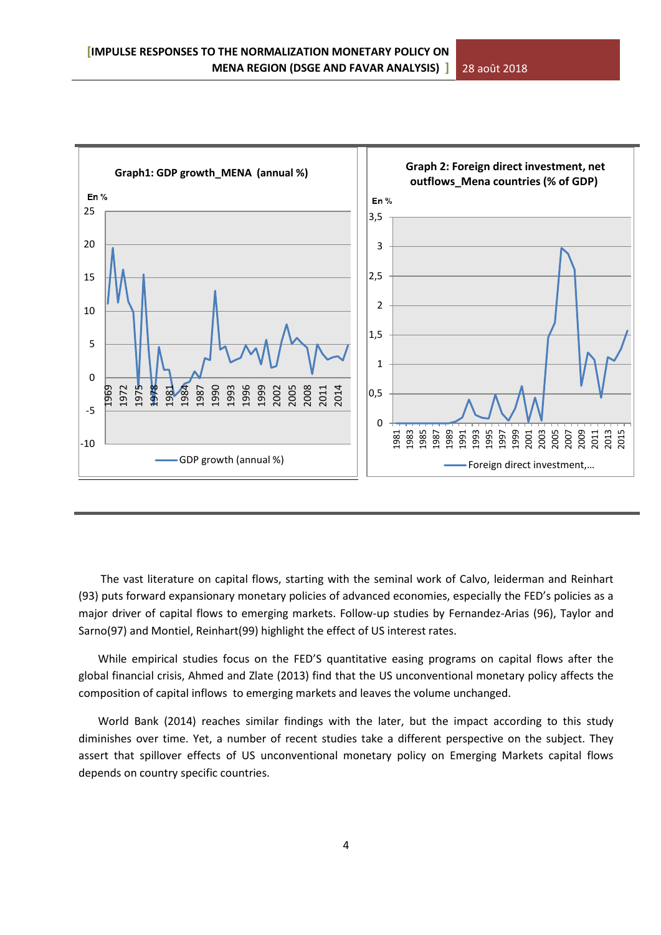

 The vast literature on capital flows, starting with the seminal work of Calvo, leiderman and Reinhart (93) puts forward expansionary monetary policies of advanced economies, especially the FED's policies as a major driver of capital flows to emerging markets. Follow-up studies by Fernandez-Arias (96), Taylor and Sarno(97) and Montiel, Reinhart(99) highlight the effect of US interest rates.

 While empirical studies focus on the FED'S quantitative easing programs on capital flows after the global financial crisis, Ahmed and Zlate (2013) find that the US unconventional monetary policy affects the composition of capital inflows to emerging markets and leaves the volume unchanged.

 World Bank (2014) reaches similar findings with the later, but the impact according to this study diminishes over time. Yet, a number of recent studies take a different perspective on the subject. They assert that spillover effects of US unconventional monetary policy on Emerging Markets capital flows depends on country specific countries.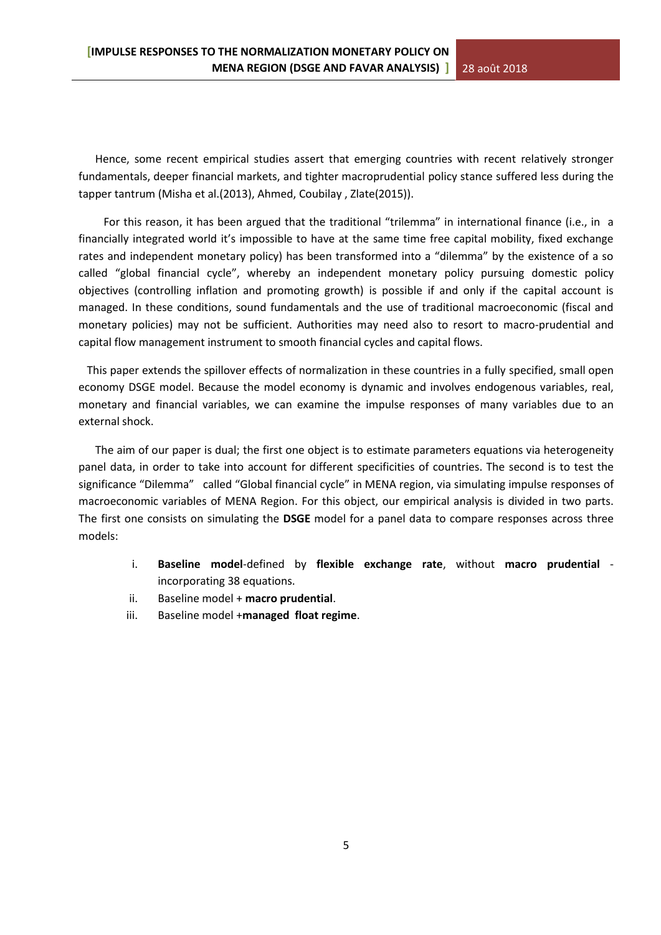Hence, some recent empirical studies assert that emerging countries with recent relatively stronger fundamentals, deeper financial markets, and tighter macroprudential policy stance suffered less during the tapper tantrum (Misha et al.(2013), Ahmed, Coubilay , Zlate(2015)).

 For this reason, it has been argued that the traditional "trilemma" in international finance (i.e., in a financially integrated world it's impossible to have at the same time free capital mobility, fixed exchange rates and independent monetary policy) has been transformed into a "dilemma" by the existence of a so called "global financial cycle", whereby an independent monetary policy pursuing domestic policy objectives (controlling inflation and promoting growth) is possible if and only if the capital account is managed. In these conditions, sound fundamentals and the use of traditional macroeconomic (fiscal and monetary policies) may not be sufficient. Authorities may need also to resort to macro-prudential and capital flow management instrument to smooth financial cycles and capital flows.

 This paper extends the spillover effects of normalization in these countries in a fully specified, small open economy DSGE model. Because the model economy is dynamic and involves endogenous variables, real, monetary and financial variables, we can examine the impulse responses of many variables due to an external shock.

 The aim of our paper is dual; the first one object is to estimate parameters equations via heterogeneity panel data, in order to take into account for different specificities of countries. The second is to test the significance "Dilemma" called "Global financial cycle" in MENA region, via simulating impulse responses of macroeconomic variables of MENA Region. For this object, our empirical analysis is divided in two parts. The first one consists on simulating the **DSGE** model for a panel data to compare responses across three models:

- i. **Baseline model**-defined by **flexible exchange rate**, without **macro prudential** incorporating 38 equations.
- ii. Baseline model + **macro prudential**.
- iii. Baseline model +**managed float regime**.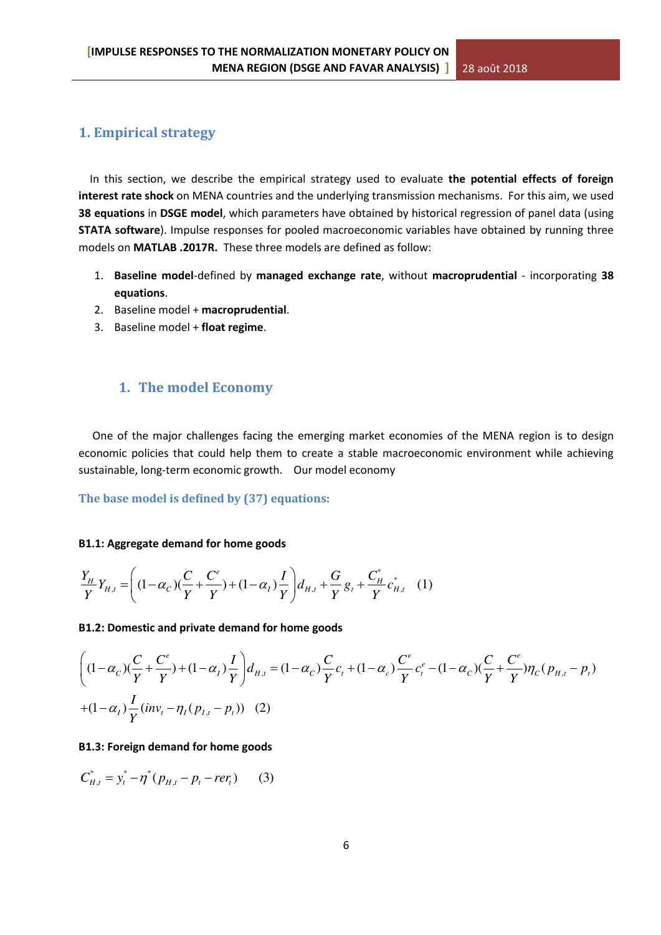# **1. Empirical strategy**

 In this section, we describe the empirical strategy used to evaluate **the potential effects of foreign interest rate shock** on MENA countries and the underlying transmission mechanisms. For this aim, we used **38 equations** in **DSGE model**, which parameters have obtained by historical regression of panel data (using **STATA software**). Impulse responses for pooled macroeconomic variables have obtained by running three models on **MATLAB .2017R.** These three models are defined as follow:

- 1. **Baseline model**-defined by **managed exchange rate**, without **macroprudential** incorporating **38 equations**.
- 2. Baseline model + **macroprudential**.
- 3. Baseline model + **float regime**.

# **1. The model Economy**

 One of the major challenges facing the emerging market economies of the MENA region is to design economic policies that could help them to create a stable macroeconomic environment while achieving sustainable, long-term economic growth. Our model economy

**The base model is defined by (37) equations:** 

#### **B1.1: Aggregate demand for home goods**

$$
\frac{Y_H}{Y}Y_{H,t} = \left( (1 - \alpha_C)(\frac{C}{Y} + \frac{C^e}{Y}) + (1 - \alpha_I)\frac{I}{Y} \right) d_{H,t} + \frac{G}{Y} g_t + \frac{C^*_{H}}{Y} c^*_{H,t} \quad (1)
$$

**B1.2: Domestic and private demand for home goods** 

$$
\left( (1 - \alpha_c) \left( \frac{C}{Y} + \frac{C^e}{Y} \right) + (1 - \alpha_l) \frac{I}{Y} \right) d_{H,t} = (1 - \alpha_c) \frac{C}{Y} c_t + (1 - \alpha_c) \frac{C^e}{Y} c_t^e - (1 - \alpha_c) \left( \frac{C}{Y} + \frac{C^e}{Y} \right) \eta_C (p_{H,t} - p_t)
$$
  
+ 
$$
(1 - \alpha_l) \frac{I}{Y} (inv_l - \eta_l (p_{I,t} - p_t))
$$
 (2)

#### **B1.3: Foreign demand for home goods**

$$
C_{H,t}^* = y_t^* - \eta^* (p_{H,t} - p_t - r e r_t)
$$
 (3)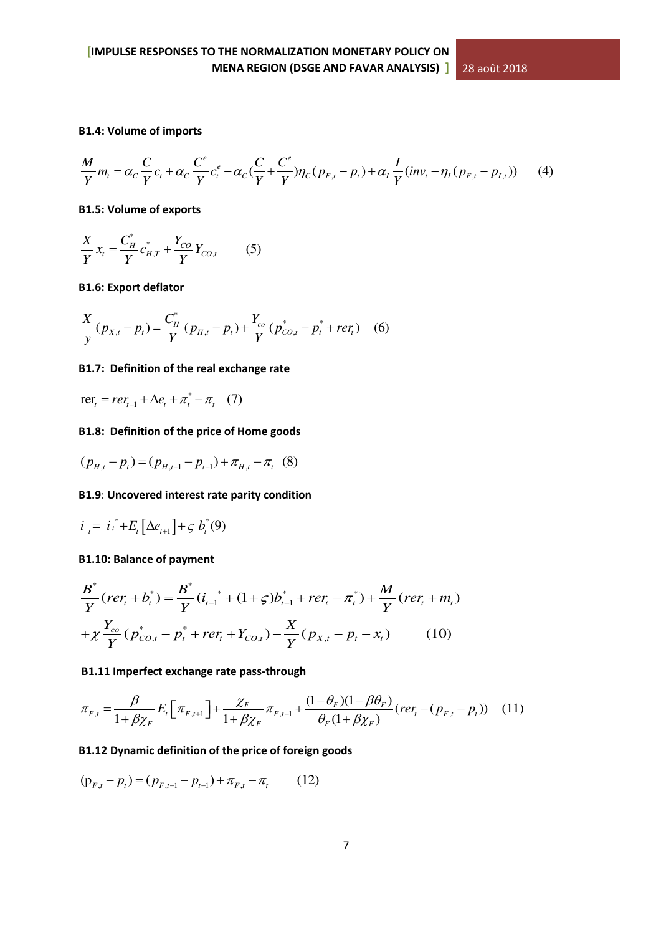# **B1.4: Volume of imports**

$$
\frac{M}{Y}m_{t} = \alpha_{C} \frac{C}{Y}c_{t} + \alpha_{C} \frac{C^{e}}{Y}c_{t}^{e} - \alpha_{C}(\frac{C}{Y} + \frac{C^{e}}{Y})\eta_{C}(p_{F,t} - p_{t}) + \alpha_{I} \frac{I}{Y}(inv_{t} - \eta_{I}(p_{F,t} - p_{I,t}))
$$
(4)

#### **B1.5: Volume of exports**

$$
\frac{X}{Y}x_t = \frac{C_H^*}{Y}c_{H,T}^* + \frac{Y_{CO}}{Y}Y_{CO,t}
$$
 (5)

#### **B1.6: Export deflator**

$$
\frac{X}{y}(p_{X,t} - p_t) = \frac{C_H^*}{Y}(p_{H,t} - p_t) + \frac{Y_{co}}{Y}(p_{CO,t}^* - p_t^* + ref_t)
$$
 (6)

#### **B1.7: Definition of the real exchange rate**

\*  $\text{rer}_t = \text{rer}_{t-1} + \Delta e_t + \pi_t^* - \pi_t$  (7)

# **B1.8: Definition of the price of Home goods**

$$
(p_{H,t} - p_t) = (p_{H,t-1} - p_{t-1}) + \pi_{H,t} - \pi_t
$$
 (8)

# **B1.9**: **Uncovered interest rate parity condition**

$$
i_t = i_t^* + E_t [\Delta e_{t+1}] + \varsigma b_t^*(9)
$$

# **B1.10: Balance of payment**

$$
\frac{B^*}{Y}(rer_t + b_t^*) = \frac{B^*}{Y}(i_{t-1}^* + (1+\varsigma)b_{t-1}^* + rer_t - \pi_t^*) + \frac{M}{Y}(rer_t + m_t)
$$
  
+  $\chi \frac{Y_{co}}{Y}(p_{CO,t}^* - p_t^* + rer_t + Y_{CO,t}) - \frac{X}{Y}(p_{X,t} - p_t - x_t)$  (10)

# **B1.11 Imperfect exchange rate pass-through**

$$
\pi_{F,t} = \frac{\beta}{1 + \beta \chi_F} E_t \left[ \pi_{F,t+1} \right] + \frac{\chi_F}{1 + \beta \chi_F} \pi_{F,t-1} + \frac{(1 - \theta_F)(1 - \beta \theta_F)}{\theta_F (1 + \beta \chi_F)} (rer_t - (p_{F,t} - p_t)) \tag{11}
$$

# **B1.12 Dynamic definition of the price of foreign goods**

$$
(\mathbf{p}_{F,t} - p_t) = (p_{F,t-1} - p_{t-1}) + \pi_{F,t} - \pi_t \tag{12}
$$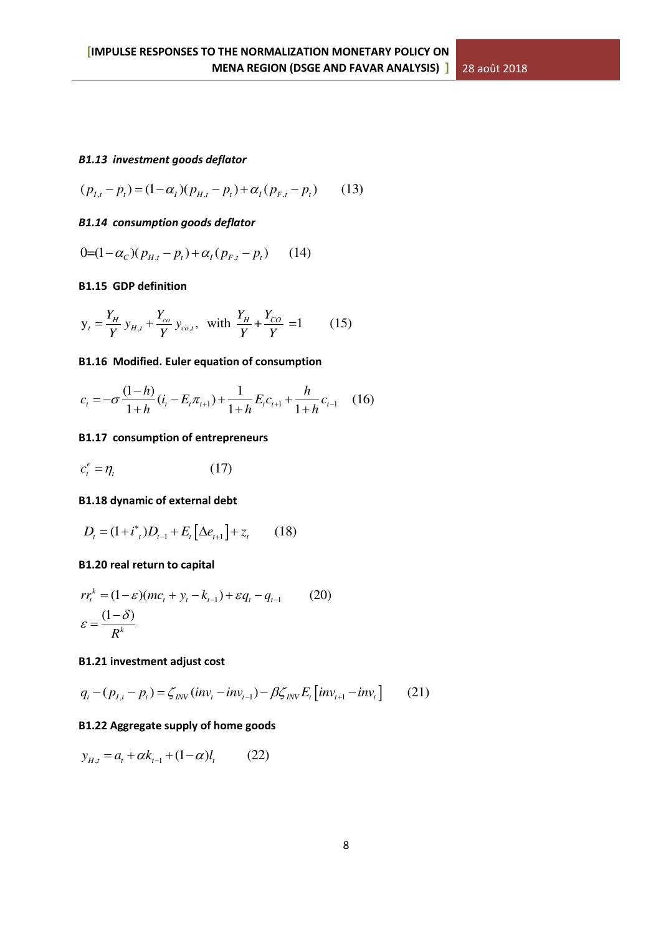# *B1.13 investment goods deflator*

$$
(p_{I,t} - p_t) = (1 - \alpha_I)(p_{H,t} - p_t) + \alpha_I (p_{F,t} - p_t)
$$
 (13)

# *B1.14 consumption goods deflator*

$$
0=(1-\alpha_C)(p_{H,t}-p_t)+\alpha_I(p_{F,t}-p_t) \qquad (14)
$$

# **B1.15 GDP definition**

$$
y_t = \frac{Y_H}{Y} y_{H,t} + \frac{Y_{co}}{Y} y_{co,t}
$$
, with  $\frac{Y_H}{Y} + \frac{Y_{CO}}{Y} = 1$  (15)

# **B1.16 Modified. Euler equation of consumption**

$$
c_{t} = -\sigma \frac{(1-h)}{1+h} (i_{t} - E_{t} \pi_{t+1}) + \frac{1}{1+h} E_{t} c_{t+1} + \frac{h}{1+h} c_{t-1} \quad (16)
$$

# **B1.17 consumption of entrepreneurs**

$$
c_t^e = \eta_t \tag{17}
$$

# **B1.18 dynamic of external debt**

$$
D_{t} = (1 + i^{*}_{t})D_{t-1} + E_{t} \left[ \Delta e_{t+1} \right] + z_{t} \qquad (18)
$$

# **B1.20 real return to capital**

$$
rr_{t}^{k} = (1 - \varepsilon)(mc_{t} + y_{t} - k_{t-1}) + \varepsilon q_{t} - q_{t-1}
$$
 (20)  

$$
\varepsilon = \frac{(1 - \delta)}{R^{k}}
$$

# **B1.21 investment adjust cost**

$$
q_{t} - (p_{t,t} - p_{t}) = \zeta_{INV}(inv_{t} - inv_{t-1}) - \beta \zeta_{INV} E_{t} \left[ inv_{t+1} - inv_{t} \right] \tag{21}
$$

# **B1.22 Aggregate supply of home goods**

$$
y_{H,t} = a_t + \alpha k_{t-1} + (1 - \alpha)l_t \tag{22}
$$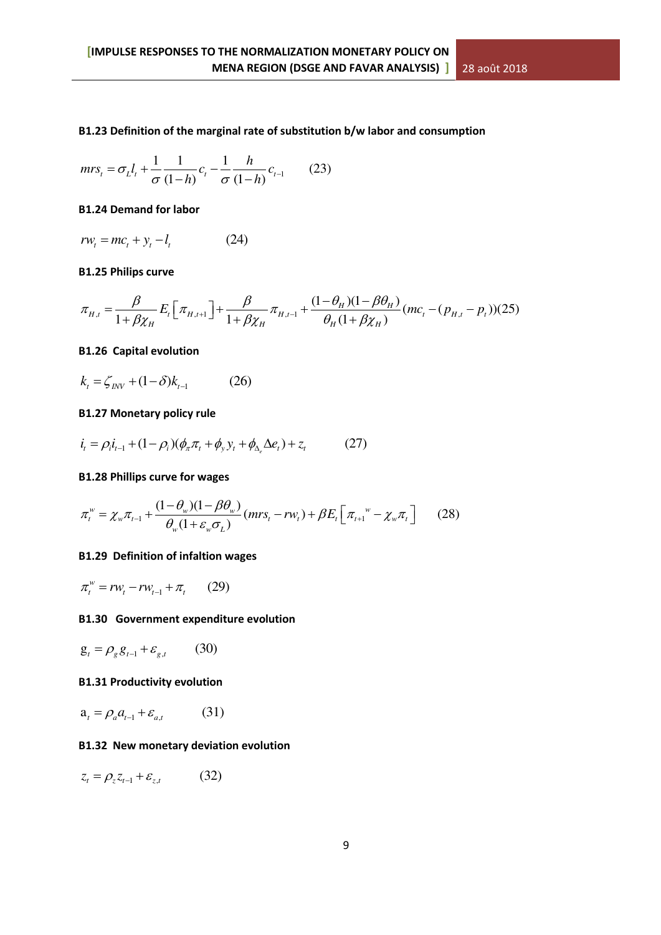# **B1.23 Definition of the marginal rate of substitution b/w labor and consumption**

$$
mrs_t = \sigma_L l_t + \frac{1}{\sigma} \frac{1}{(1-h)} c_t - \frac{1}{\sigma} \frac{h}{(1-h)} c_{t-1}
$$
 (23)

#### **B1.24 Demand for labor**

$$
rw_t = mc_t + y_t - l_t \tag{24}
$$

#### **B1.25 Philips curve**

$$
\pi_{H,t} = \frac{\beta}{1 + \beta \chi_H} E_t \left[ \pi_{H,t+1} \right] + \frac{\beta}{1 + \beta \chi_H} \pi_{H,t-1} + \frac{(1 - \theta_H)(1 - \beta \theta_H)}{\theta_H (1 + \beta \chi_H)} (mc_t - (p_{H,t} - p_t)) (25)
$$

# **B1.26 Capital evolution**

$$
k_{t} = \zeta_{\text{INV}} + (1 - \delta)k_{t-1} \tag{26}
$$

# **B1.27 Monetary policy rule**

$$
\dot{i}_t = \rho_i \dot{i}_{t-1} + (1 - \rho_i)(\phi_\pi \pi_t + \phi_y y_t + \phi_{\Delta_e} \Delta e_t) + z_t \tag{27}
$$

#### **B1.28 Phillips curve for wages**

$$
\pi_t^w = \chi_w \pi_{t-1} + \frac{(1 - \theta_w)(1 - \beta \theta_w)}{\theta_w (1 + \varepsilon_w \sigma_L)} (mrs_t - rw_t) + \beta E_t \left[ \pi_{t+1}^w - \chi_w \pi_t \right] \tag{28}
$$

# **B1.29 Definition of infaltion wages**

$$
\pi_t^w = rw_t - rw_{t-1} + \pi_t \qquad (29)
$$

# **B1.30 Government expenditure evolution**

$$
\mathbf{g}_t = \rho_g \mathbf{g}_{t-1} + \varepsilon_{g,t} \qquad (30)
$$

#### **B1.31 Productivity evolution**

$$
\mathbf{a}_{t} = \rho_a a_{t-1} + \varepsilon_{a,t} \tag{31}
$$

# **B1.32 New monetary deviation evolution**

$$
z_t = \rho_z z_{t-1} + \varepsilon_{z,t} \tag{32}
$$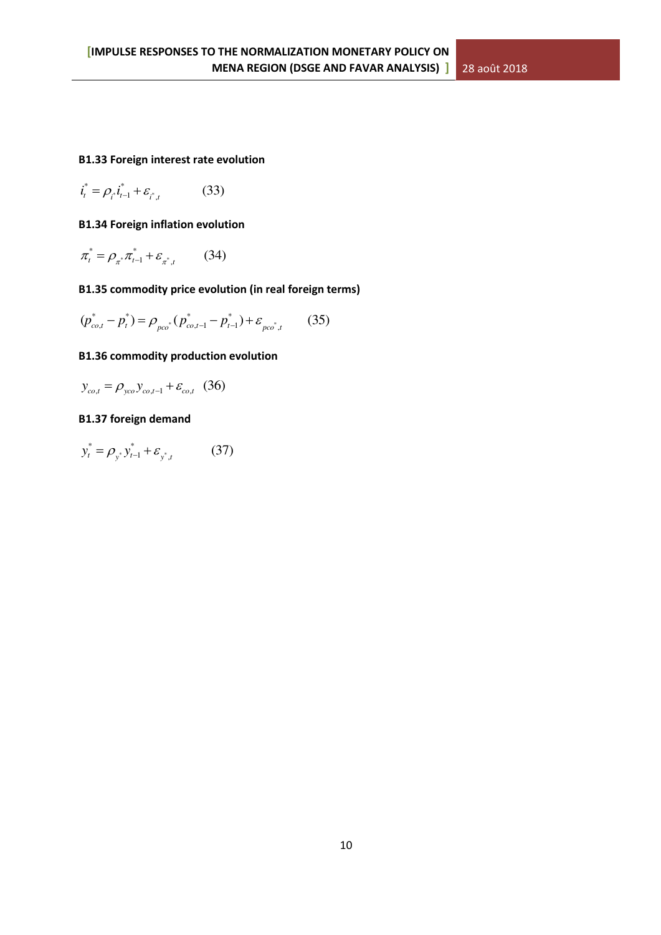# **B1.33 Foreign interest rate evolution**

$$
\boldsymbol{i}_{t}^{*} = \rho_{i} \boldsymbol{i}_{t-1}^{*} + \varepsilon_{i^{*}, t} \tag{33}
$$

# **B1.34 Foreign inflation evolution**

$$
\pi_t^* = \rho_{\pi^*} \pi_{t-1}^* + \varepsilon_{\pi^*,t} \qquad (34)
$$

# **B1.35 commodity price evolution (in real foreign terms)**

$$
(p_{co,t}^* - p_t^*) = \rho_{pco^*} (p_{co,t-1}^* - p_{t-1}^*) + \varepsilon_{pco^*,t} \qquad (35)
$$

# **B1.36 commodity production evolution**

 $y_{co,t} = \rho_{yco} y_{co,t-1} + \varepsilon_{co,t}$  (36)

# **B1.37 foreign demand**

$$
y_t^* = \rho_{y^*} y_{t-1}^* + \varepsilon_{y^*,t} \tag{37}
$$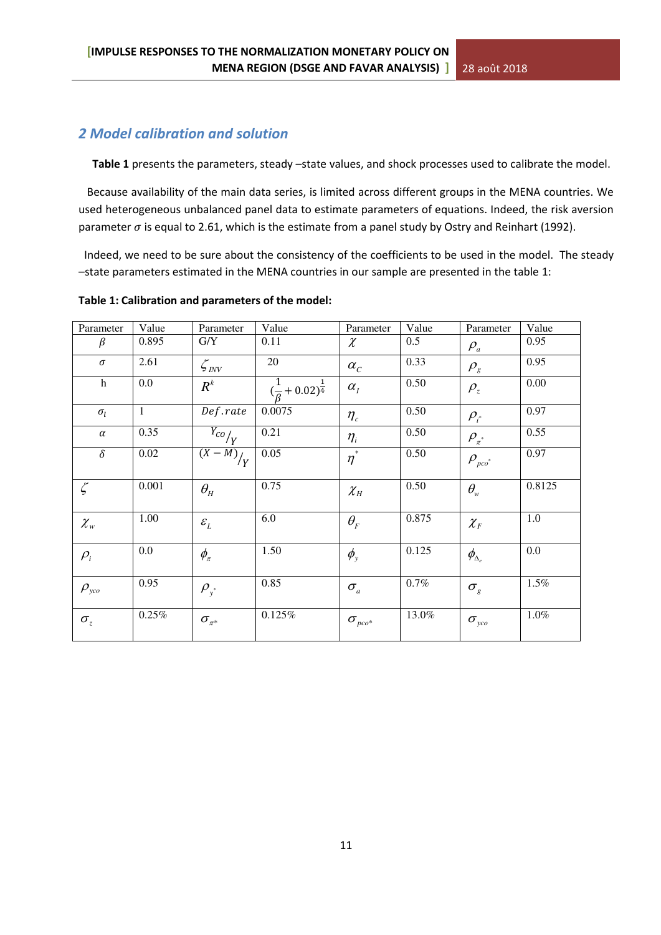# *2 Model calibration and solution*

Table 1 presents the parameters, steady –state values, and shock processes used to calibrate the model.

 Because availability of the main data series, is limited across different groups in the MENA countries. We used heterogeneous unbalanced panel data to estimate parameters of equations. Indeed, the risk aversion parameter  $\sigma$  is equal to 2.61, which is the estimate from a panel study by Ostry and Reinhart (1992).

 Indeed, we need to be sure about the consistency of the coefficients to be used in the model. The steady –state parameters estimated in the MENA countries in our sample are presented in the table 1:

# **Table 1: Calibration and parameters of the model:**

| Parameter                       | Value        | Parameter                       | Value                                  | Parameter                           | Value | Parameter                                 | Value   |
|---------------------------------|--------------|---------------------------------|----------------------------------------|-------------------------------------|-------|-------------------------------------------|---------|
| β                               | 0.895        | G/Y                             | 0.11                                   | $\chi$                              | 0.5   | $\rho_a$                                  | 0.95    |
| $\sigma$                        | 2.61         | $\mathcal{L}_{\mathit{INV}}$    | 20                                     | $\alpha_c$                          | 0.33  | $\rho_{\rm g}$                            | 0.95    |
| $\mathbf h$                     | 0.0          | $R^k$                           | $(\frac{1}{\beta}+0.02)^{\frac{1}{4}}$ | $\alpha_{I}$                        | 0.50  | $\rho_z$                                  | 0.00    |
| $\sigma_l$                      | $\mathbf{1}$ | Def.rate                        | 0.0075                                 | $\eta_c$                            | 0.50  | $\rho_{i^*}$                              | 0.97    |
| $\alpha$                        | 0.35         | $\overline{Y_{CO}}_{Y}$         | 0.21                                   | $\eta_i$                            | 0.50  | $\rho_{\pi^*}$                            | 0.55    |
| $\delta$                        | 0.02         | $\frac{\overline{(X-M)}}{Y}$    | 0.05                                   | $\overline{\eta^*}$                 | 0.50  | $\rho_{_{\rm pco}^*}$                     | 0.97    |
| $\zeta$                         | 0.001        | $\theta_{\scriptscriptstyle H}$ | 0.75                                   | $\chi_{_H}$                         | 0.50  | $\theta_{\rm w}$                          | 0.8125  |
| $\chi_{w}$                      | 1.00         | $\mathcal{E}_L$                 | 6.0                                    | $\theta_{\scriptscriptstyle F}$     | 0.875 | $\chi_{{}_F}$                             | $1.0\,$ |
| $\rho_i$                        | 0.0          | $\phi_{\pi}$                    | 1.50                                   | $\phi_{y}$                          | 0.125 | $\phi_{\!{\scriptscriptstyle\Delta_{e}}}$ | 0.0     |
| $\rho_{\scriptscriptstyle yco}$ | 0.95         | $\rho_{y^*}$                    | 0.85                                   | $\sigma_{\scriptscriptstyle a}$     | 0.7%  | $\sigma_{\rm g}$                          | 1.5%    |
| $\sigma_z$                      | 0.25%        | $\sigma_{\pi^*}$                | 0.125%                                 | $\sigma_{\scriptscriptstyle pco^*}$ | 13.0% | $\sigma_{\rm_{yco}}$                      | $1.0\%$ |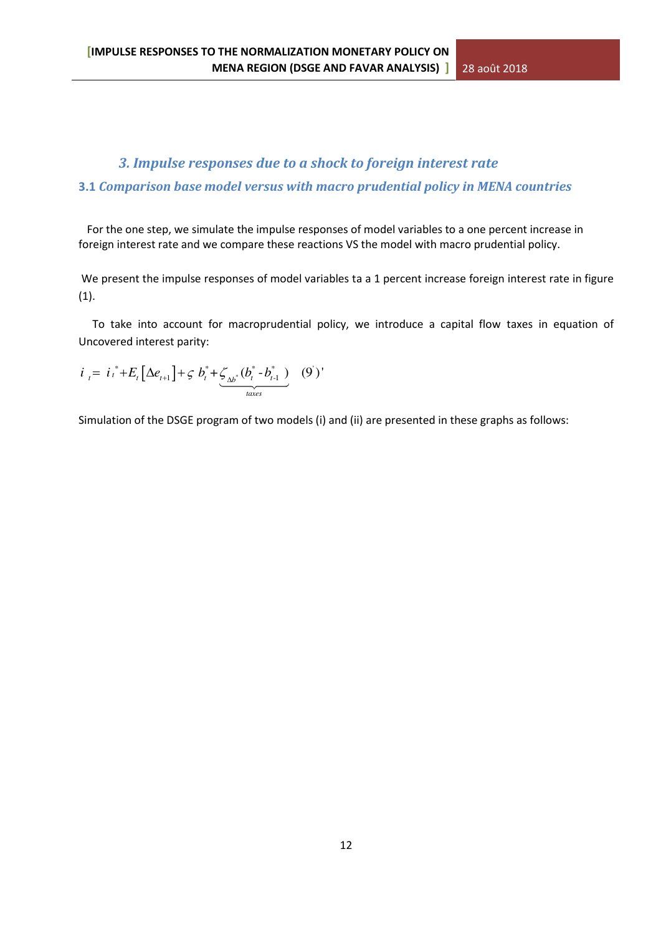# *3. Impulse responses due to a shock to foreign interest rate*  **3.1** *Comparison base model versus with macro prudential policy in MENA countries*

 For the one step, we simulate the impulse responses of model variables to a one percent increase in foreign interest rate and we compare these reactions VS the model with macro prudential policy.

We present the impulse responses of model variables ta a 1 percent increase foreign interest rate in figure (1).

 To take into account for macroprudential policy, we introduce a capital flow taxes in equation of Uncovered interest parity:

$$
i_{t} = i_{t}^{*} + E_{t} \left[ \Delta e_{t+1} \right] + \varsigma b_{t}^{*} + \underbrace{\zeta_{\Delta b^{*}}(b_{t}^{*} - b_{t-1}^{*})}_{\text{faces}} \quad (9')
$$

Simulation of the DSGE program of two models (i) and (ii) are presented in these graphs as follows: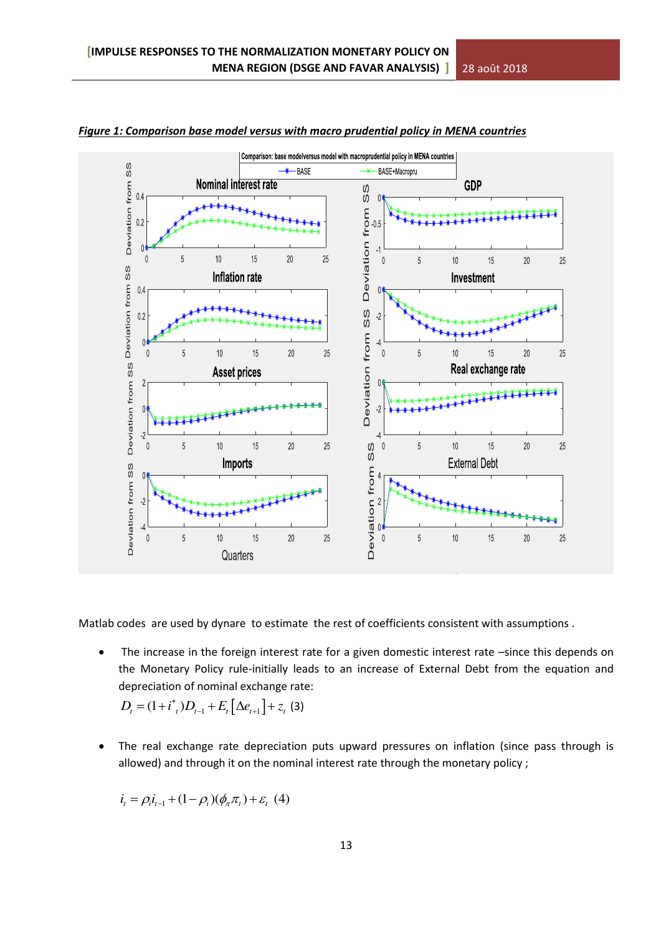

*Figure 1: Comparison base model versus with macro prudential policy in MENA countries* 

Matlab codes are used by dynare to estimate the rest of coefficients consistent with assumptions .

The increase in the foreign interest rate for a given domestic interest rate -since this depends on the Monetary Policy rule-initially leads to an increase of External Debt from the equation and depreciation of nominal exchange rate:

$$
D_{t} = (1 + i^{*}_{t})D_{t-1} + E_{t} \left[ \Delta e_{t+1} \right] + z_{t} \tag{3}
$$

 The real exchange rate depreciation puts upward pressures on inflation (since pass through is allowed) and through it on the nominal interest rate through the monetary policy ;

$$
i_{t} = \rho_{i} i_{t-1} + (1 - \rho_{i}) (\phi_{\pi} \pi_{t}) + \varepsilon_{t} (4)
$$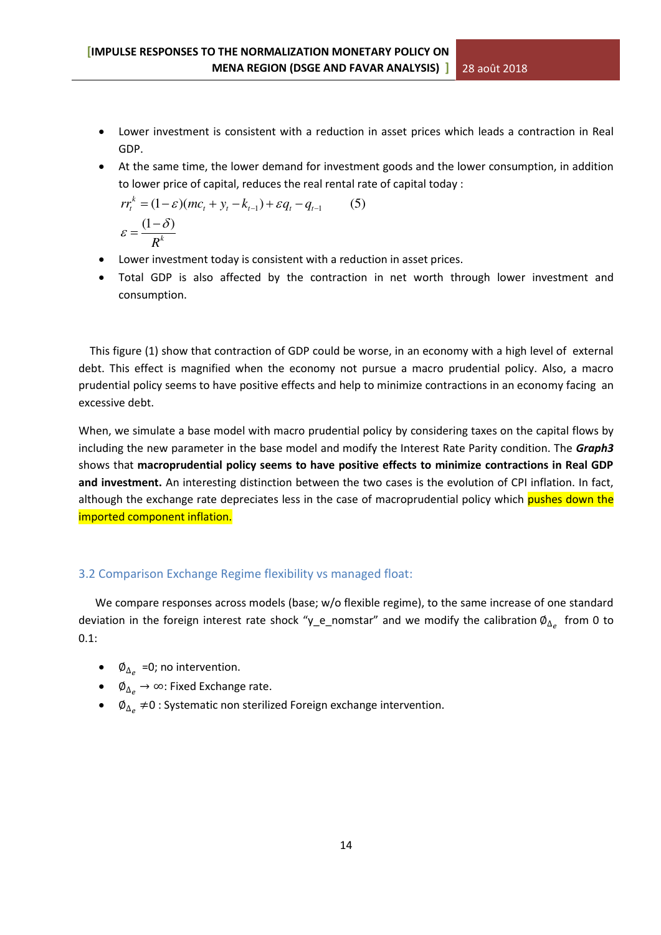- Lower investment is consistent with a reduction in asset prices which leads a contraction in Real GDP.
- At the same time, the lower demand for investment goods and the lower consumption, in addition to lower price of capital, reduces the real rental rate of capital today :

$$
rr_t^k = (1 - \varepsilon)(mc_t + y_t - k_{t-1}) + \varepsilon q_t - q_{t-1}
$$
 (5)  

$$
\varepsilon = \frac{(1 - \delta)}{R^k}
$$

- Lower investment today is consistent with a reduction in asset prices.
- Total GDP is also affected by the contraction in net worth through lower investment and consumption.

 This figure (1) show that contraction of GDP could be worse, in an economy with a high level of external debt. This effect is magnified when the economy not pursue a macro prudential policy. Also, a macro prudential policy seems to have positive effects and help to minimize contractions in an economy facing an excessive debt.

When, we simulate a base model with macro prudential policy by considering taxes on the capital flows by including the new parameter in the base model and modify the Interest Rate Parity condition. The *Graph3*  shows that **macroprudential policy seems to have positive effects to minimize contractions in Real GDP and investment.** An interesting distinction between the two cases is the evolution of CPI inflation. In fact, although the exchange rate depreciates less in the case of macroprudential policy which pushes down the imported component inflation.

# 3.2 Comparison Exchange Regime flexibility vs managed float:

We compare responses across models (base; w/o flexible regime), to the same increase of one standard deviation in the foreign interest rate shock "y\_e\_nomstar" and we modify the calibration  $\emptyset_{\Delta_{e}}\,$  from 0 to 0.1:

- $\emptyset_{\Delta_e}$  =0; no intervention.
- $\phi$   $\phi_{\Delta_{\alpha}} \rightarrow \infty$ : Fixed Exchange rate.
- $\phi$   $\phi_{\Delta_e}$  ≠0 : Systematic non sterilized Foreign exchange intervention.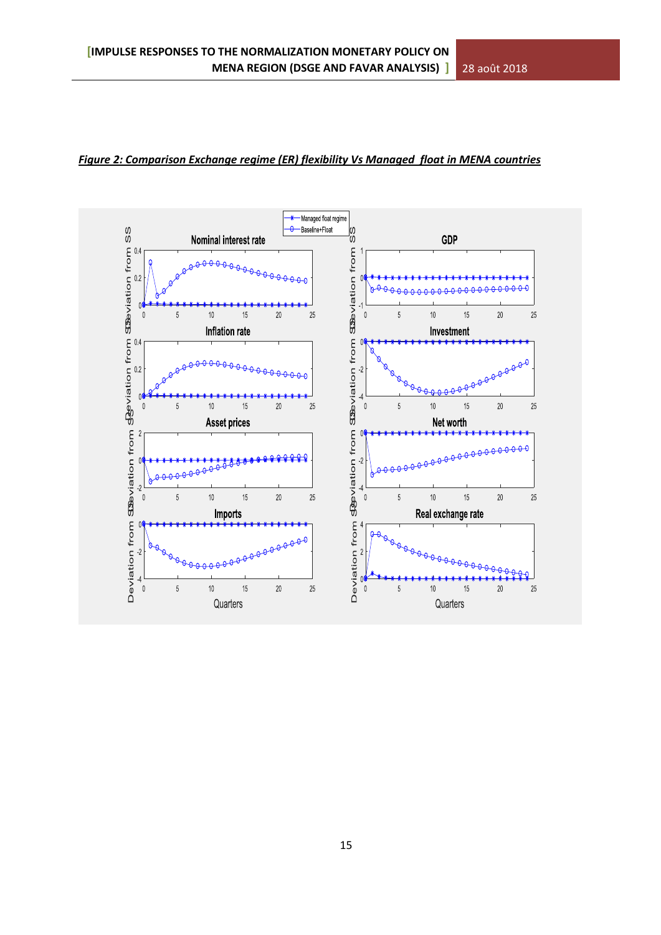

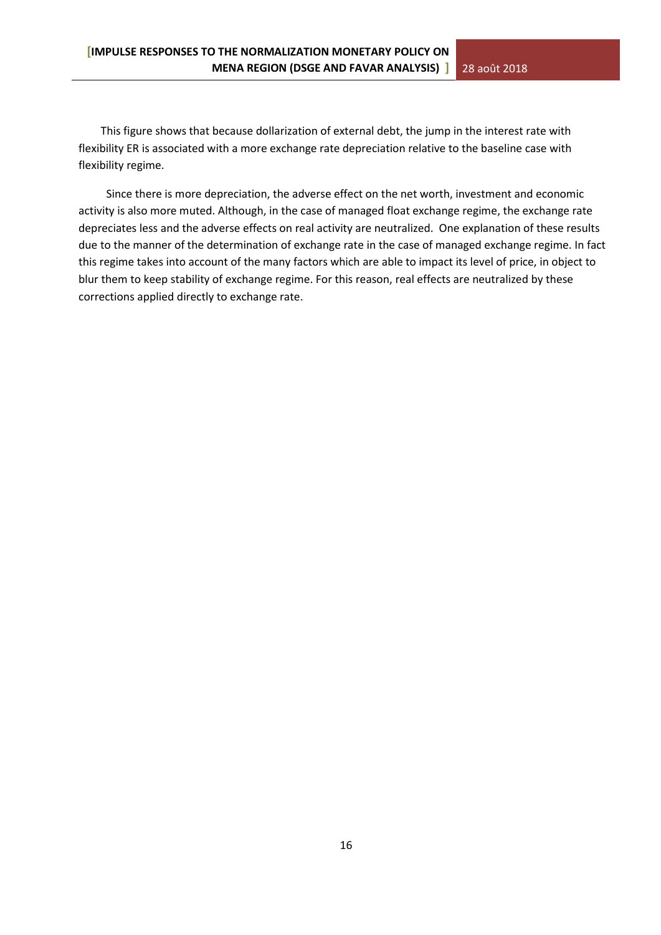This figure shows that because dollarization of external debt, the jump in the interest rate with flexibility ER is associated with a more exchange rate depreciation relative to the baseline case with flexibility regime.

 Since there is more depreciation, the adverse effect on the net worth, investment and economic activity is also more muted. Although, in the case of managed float exchange regime, the exchange rate depreciates less and the adverse effects on real activity are neutralized. One explanation of these results due to the manner of the determination of exchange rate in the case of managed exchange regime. In fact this regime takes into account of the many factors which are able to impact its level of price, in object to blur them to keep stability of exchange regime. For this reason, real effects are neutralized by these corrections applied directly to exchange rate.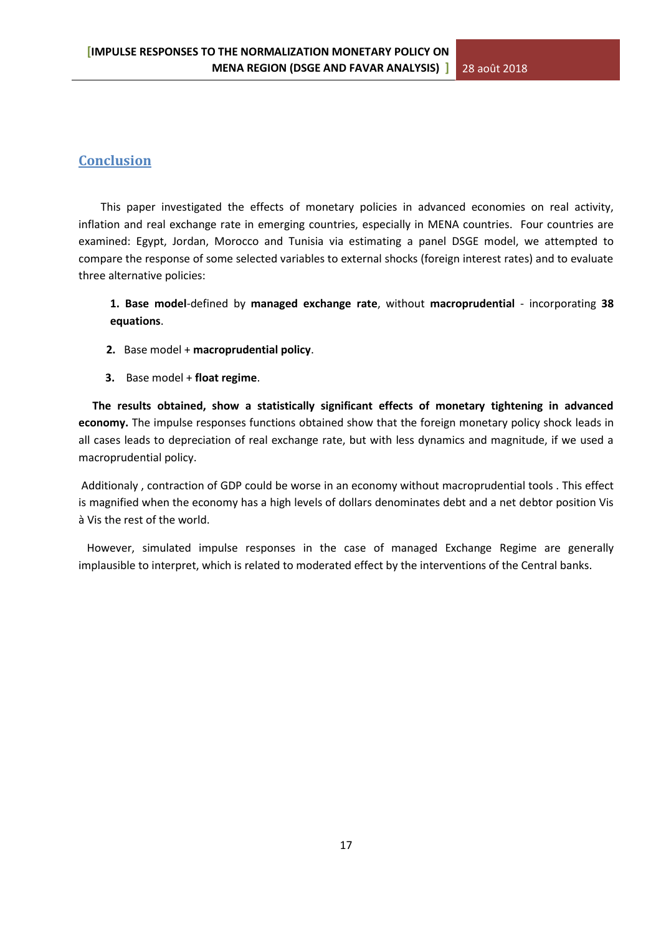# **Conclusion**

 This paper investigated the effects of monetary policies in advanced economies on real activity, inflation and real exchange rate in emerging countries, especially in MENA countries. Four countries are examined: Egypt, Jordan, Morocco and Tunisia via estimating a panel DSGE model, we attempted to compare the response of some selected variables to external shocks (foreign interest rates) and to evaluate three alternative policies:

**1. Base model**-defined by **managed exchange rate**, without **macroprudential** - incorporating **38 equations**.

- **2.** Base model + **macroprudential policy**.
- **3.** Base model + **float regime**.

 **The results obtained, show a statistically significant effects of monetary tightening in advanced economy.** The impulse responses functions obtained show that the foreign monetary policy shock leads in all cases leads to depreciation of real exchange rate, but with less dynamics and magnitude, if we used a macroprudential policy.

Additionaly , contraction of GDP could be worse in an economy without macroprudential tools . This effect is magnified when the economy has a high levels of dollars denominates debt and a net debtor position Vis à Vis the rest of the world.

 However, simulated impulse responses in the case of managed Exchange Regime are generally implausible to interpret, which is related to moderated effect by the interventions of the Central banks.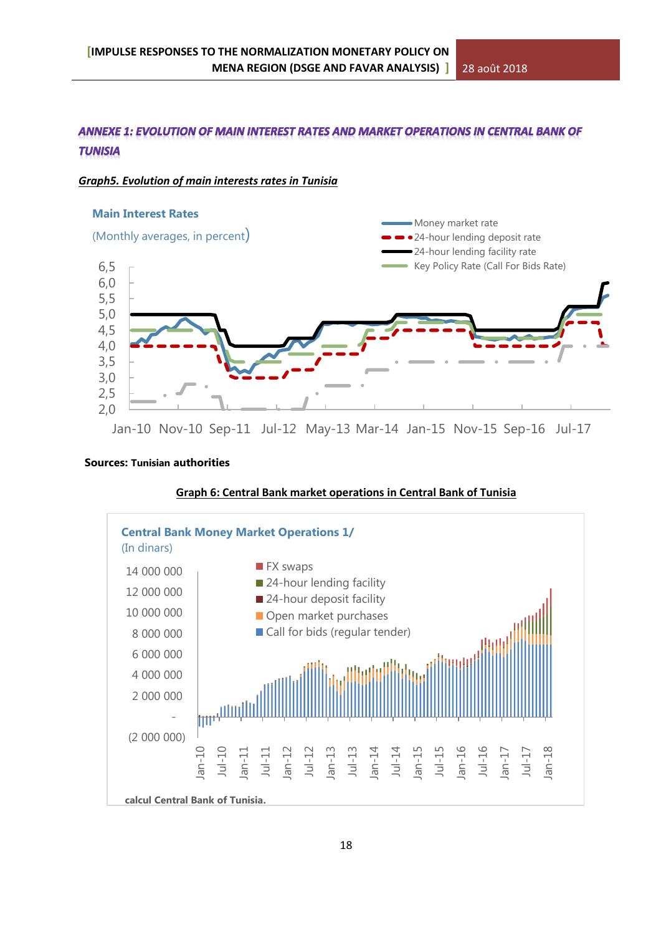# ANNEXE 1: EVOLUTION OF MAIN INTEREST RATES AND MARKET OPERATIONS IN CENTRAL BANK OF **TUNISIA**

# *Graph5. Evolution of main interests rates in Tunisia*



Jan-10 Nov-10 Sep-11 Jul-12 May-13 Mar-14 Jan-15 Nov-15 Sep-16 Jul-17

#### **Sources: Tunisian authorities**



#### **Graph 6: Central Bank market operations in Central Bank of Tunisia**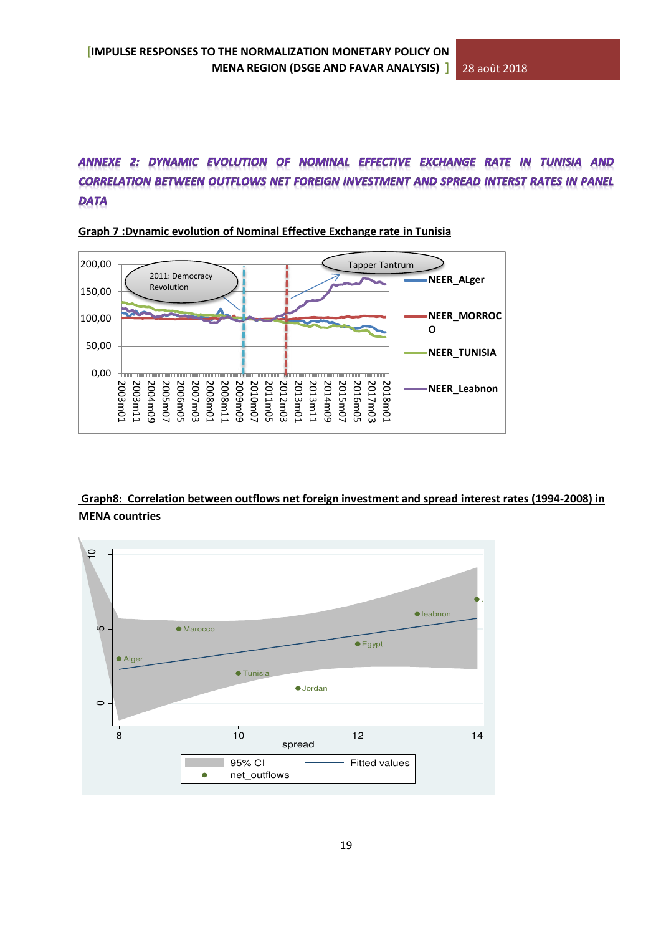# ANNEXE 2: DYNAMIC EVOLUTION OF NOMINAL EFFECTIVE EXCHANGE RATE IN TUNISIA AND **CORRELATION BETWEEN OUTFLOWS NET FOREIGN INVESTMENT AND SPREAD INTERST RATES IN PANEL DATA**



**Graph 7 :Dynamic evolution of Nominal Effective Exchange rate in Tunisia** 

# **Graph8: Correlation between outflows net foreign investment and spread interest rates (1994-2008) in MENA countries**

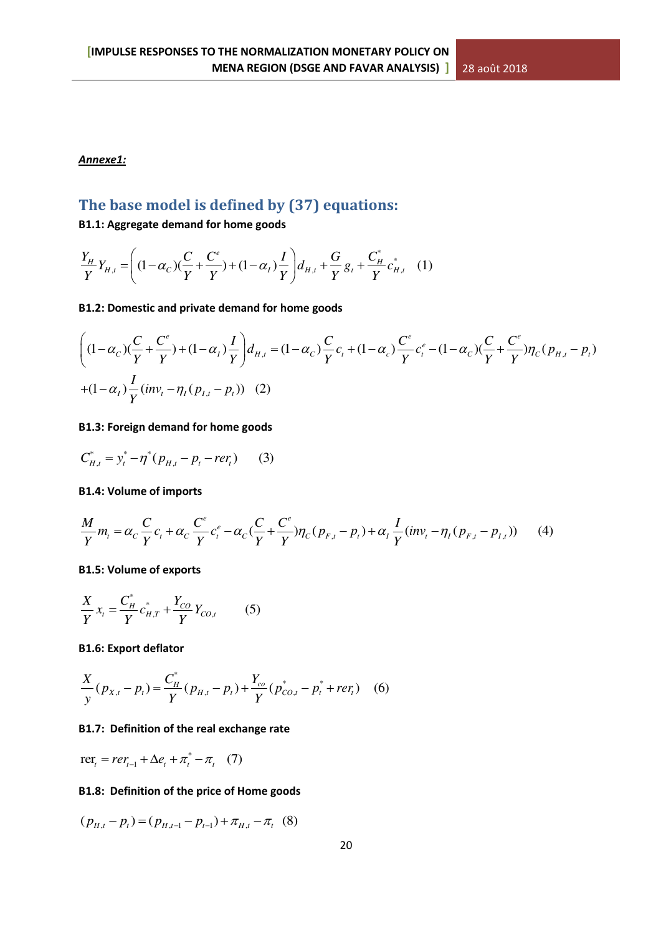# *Annexe1:*

# **The base model is defined by (37) equations:**

# **B1.1: Aggregate demand for home goods**

$$
\frac{Y_H}{Y}Y_{H,t} = \left( (1 - \alpha_C)(\frac{C}{Y} + \frac{C^e}{Y}) + (1 - \alpha_I)\frac{I}{Y} \right) d_{H,t} + \frac{G}{Y} g_t + \frac{C^*_{H}}{Y} c^*_{H,t} \quad (1)
$$

#### **B1.2: Domestic and private demand for home goods**

$$
\left( (1 - \alpha_c) \left( \frac{C}{Y} + \frac{C^e}{Y} \right) + (1 - \alpha_l) \frac{I}{Y} \right) d_{H,t} = (1 - \alpha_c) \frac{C}{Y} c_t + (1 - \alpha_c) \frac{C^e}{Y} c_t^e - (1 - \alpha_c) \left( \frac{C}{Y} + \frac{C^e}{Y} \right) \eta_C (p_{H,t} - p_t)
$$
  
+ 
$$
(1 - \alpha_l) \frac{I}{Y} (inv_t - \eta_I (p_{I,t} - p_t))
$$
 (2)

# **B1.3: Foreign demand for home goods**

$$
C_{H,t}^* = y_t^* - \eta^* (p_{H,t} - p_t - r e r_t)
$$
 (3)

# **B1.4: Volume of imports**

$$
\frac{M}{Y}m_t = \alpha_C \frac{C}{Y}c_t + \alpha_C \frac{C^e}{Y}c_t^e - \alpha_C(\frac{C}{Y} + \frac{C^e}{Y})\eta_C(p_{F,t} - p_t) + \alpha_I \frac{I}{Y}(inv_t - \eta_I(p_{F,t} - p_{I,t})) \tag{4}
$$

#### **B1.5: Volume of exports**

$$
\frac{X}{Y}x_t = \frac{C_H^*}{Y}c_{H,T}^* + \frac{Y_{CO}}{Y}Y_{CO,t}
$$
 (5)

#### **B1.6: Export deflator**

$$
\frac{X}{y}(p_{X,t} - p_t) = \frac{C_H^*}{Y}(p_{H,t} - p_t) + \frac{Y_{co}}{Y}(p_{CO,t}^* - p_t^* + ref_t) \quad (6)
$$

#### **B1.7: Definition of the real exchange rate**

$$
\text{rer}_t = \text{rer}_{t-1} + \Delta e_t + \pi_t^* - \pi_t \quad (7)
$$

#### **B1.8: Definition of the price of Home goods**

$$
(p_{H,t} - p_t) = (p_{H,t-1} - p_{t-1}) + \pi_{H,t} - \pi_t
$$
 (8)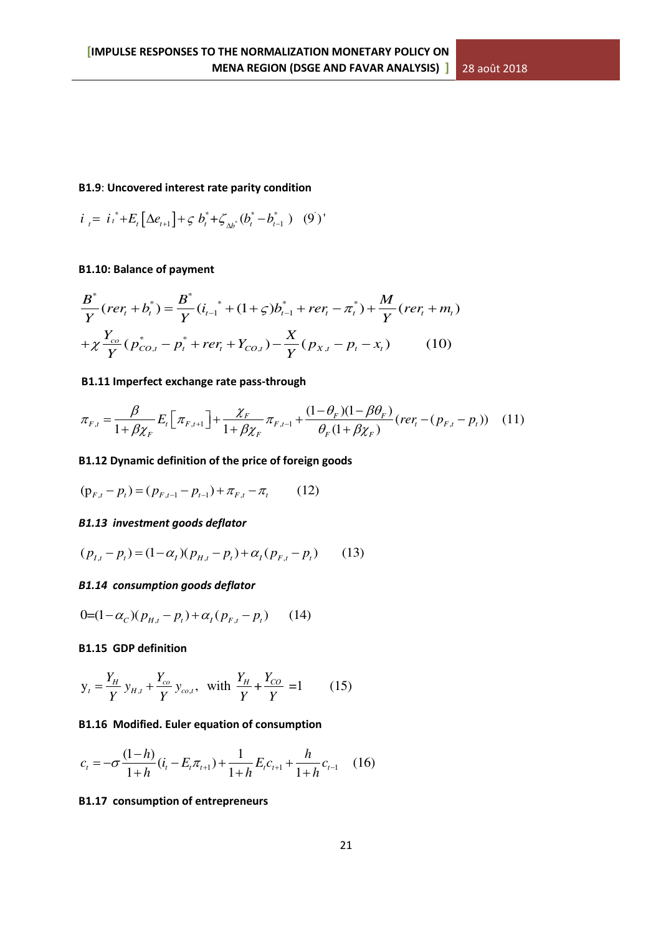# **B1.9**: **Uncovered interest rate parity condition**

$$
i_{t} = i_{t}^{*} + E_{t} \left[ \Delta e_{t+1} \right] + \varsigma b_{t}^{*} + \zeta_{\Delta b^{*}} (b_{t}^{*} - b_{t-1}^{*}) \quad (9')
$$

# **B1.10: Balance of payment**

$$
\frac{B^*}{Y}(rer_t + b_t^*) = \frac{B^*}{Y}(i_{t-1}^* + (1+\varsigma)b_{t-1}^* + rer_t - \pi_t^*) + \frac{M}{Y}(rer_t + m_t)
$$
  
+  $\chi \frac{Y_{co}}{Y}(p_{CO,t}^* - p_t^* + rer_t + Y_{CO,t}) - \frac{X}{Y}(p_{X,t} - p_t - x_t)$  (10)

# **B1.11 Imperfect exchange rate pass-through**

$$
\pi_{F,t} = \frac{\beta}{1 + \beta \chi_F} E_t \left[ \pi_{F,t+1} \right] + \frac{\chi_F}{1 + \beta \chi_F} \pi_{F,t-1} + \frac{(1 - \theta_F)(1 - \beta \theta_F)}{\theta_F (1 + \beta \chi_F)} (rer_t - (p_{F,t} - p_t)) \tag{11}
$$

# **B1.12 Dynamic definition of the price of foreign goods**

$$
(\mathbf{p}_{F,t} - p_t) = (p_{F,t-1} - p_{t-1}) + \pi_{F,t} - \pi_t \tag{12}
$$

#### *B1.13 investment goods deflator*

$$
(p_{I,t} - p_t) = (1 - \alpha_I)(p_{H,t} - p_t) + \alpha_I (p_{F,t} - p_t)
$$
 (13)

#### *B1.14 consumption goods deflator*

$$
0=(1-\alpha_C)(p_{H,t}-p_t)+\alpha_I(p_{F,t}-p_t) \qquad (14)
$$

#### **B1.15 GDP definition**

$$
y_t = \frac{Y_H}{Y} y_{H,t} + \frac{Y_{co}}{Y} y_{co,t}
$$
, with  $\frac{Y_H}{Y} + \frac{Y_{CO}}{Y} = 1$  (15)

# **B1.16 Modified. Euler equation of consumption**

$$
c_{t} = -\sigma \frac{(1-h)}{1+h} (i_{t} - E_{t} \pi_{t+1}) + \frac{1}{1+h} E_{t} c_{t+1} + \frac{h}{1+h} c_{t-1} \quad (16)
$$

# **B1.17 consumption of entrepreneurs**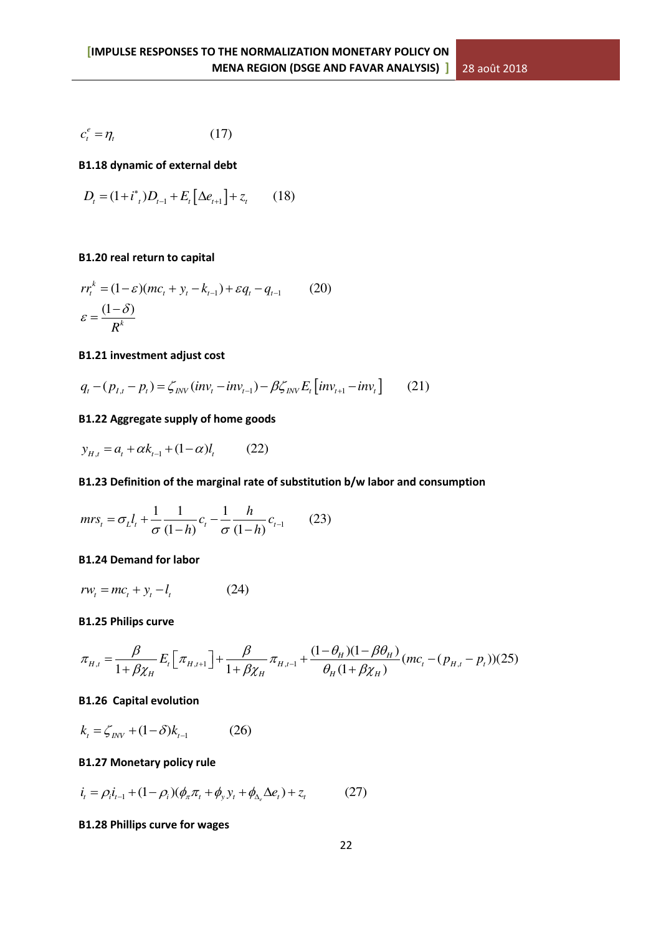$$
c_t^e = \eta_t \tag{17}
$$

**B1.18 dynamic of external debt** 

$$
D_{t} = (1 + i^{*}_{t})D_{t-1} + E_{t} \left[\Delta e_{t+1}\right] + z_{t} \qquad (18)
$$

#### **B1.20 real return to capital**

$$
rr_{t}^{k} = (1 - \varepsilon)(mc_{t} + y_{t} - k_{t-1}) + \varepsilon q_{t} - q_{t-1}
$$
 (20)  

$$
\varepsilon = \frac{(1 - \delta)}{R^{k}}
$$

#### **B1.21 investment adjust cost**

$$
q_{t} - (p_{t,t} - p_{t}) = \zeta_{INV}(inv_{t} - inv_{t-1}) - \beta \zeta_{INV} E_{t}[inv_{t+1} - inv_{t}] \qquad (21)
$$

# **B1.22 Aggregate supply of home goods**

$$
y_{H,t} = a_t + \alpha k_{t-1} + (1 - \alpha) l_t \tag{22}
$$

# **B1.23 Definition of the marginal rate of substitution b/w labor and consumption**

$$
mrs_t = \sigma_L l_t + \frac{1}{\sigma} \frac{1}{(1-h)} c_t - \frac{1}{\sigma} \frac{h}{(1-h)} c_{t-1}
$$
 (23)

# **B1.24 Demand for labor**

$$
rw_t = mc_t + y_t - l_t \tag{24}
$$

# **B1.25 Philips curve**

$$
\pi_{H,t} = \frac{\beta}{1 + \beta \chi_H} E_t \left[ \pi_{H,t+1} \right] + \frac{\beta}{1 + \beta \chi_H} \pi_{H,t-1} + \frac{(1 - \theta_H)(1 - \beta \theta_H)}{\theta_H (1 + \beta \chi_H)} (mc_t - (p_{H,t} - p_t)) (25)
$$

### **B1.26 Capital evolution**

$$
k_{t} = \zeta_{INV} + (1 - \delta)k_{t-1}
$$
 (26)

# **B1.27 Monetary policy rule**

$$
i_{t} = \rho_{i} i_{t-1} + (1 - \rho_{i}) (\phi_{\pi} \pi_{t} + \phi_{y} y_{t} + \phi_{\Delta_{e}} \Delta e_{t}) + z_{t}
$$
 (27)

# **B1.28 Phillips curve for wages**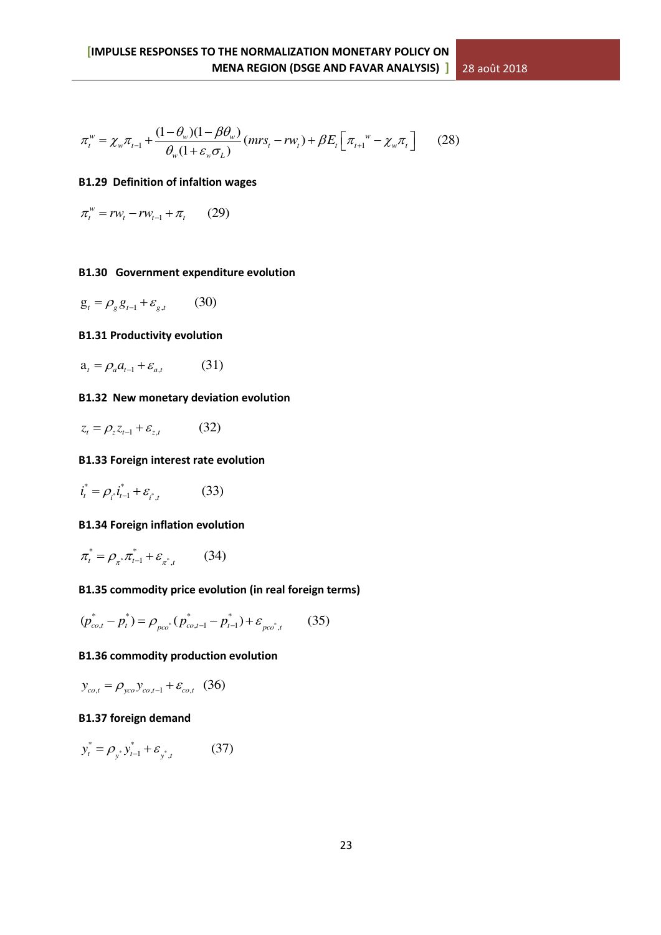$$
\pi_t^w = \chi_w \pi_{t-1} + \frac{(1 - \theta_w)(1 - \beta \theta_w)}{\theta_w (1 + \varepsilon_w \sigma_L)} (mrs_t - rw_t) + \beta E_t \left[ \pi_{t+1}^w - \chi_w \pi_t \right] \tag{28}
$$

# **B1.29 Definition of infaltion wages**

$$
\pi_t^w = rw_t - rw_{t-1} + \pi_t \qquad (29)
$$

# **B1.30 Government expenditure evolution**

$$
\mathbf{g}_t = \rho_g \mathbf{g}_{t-1} + \varepsilon_{g,t} \qquad (30)
$$

# **B1.31 Productivity evolution**

$$
\mathbf{a}_{t} = \rho_a a_{t-1} + \varepsilon_{a,t} \tag{31}
$$

# **B1.32 New monetary deviation evolution**

$$
z_t = \rho_z z_{t-1} + \varepsilon_{z,t} \tag{32}
$$

# **B1.33 Foreign interest rate evolution**

$$
\vec{i}_t^* = \rho_{i^*} \vec{i}_{t-1}^* + \varepsilon_{i^*,t} \tag{33}
$$

# **B1.34 Foreign inflation evolution**

$$
\pi_t^* = \rho_{\pi^*} \pi_{t-1}^* + \varepsilon_{\pi^*,t} \qquad (34)
$$

# **B1.35 commodity price evolution (in real foreign terms)**

$$
(p_{co,t}^* - p_t^*) = \rho_{pco^*} (p_{co,t-1}^* - p_{t-1}^*) + \varepsilon_{pco^*,t} \qquad (35)
$$

# **B1.36 commodity production evolution**

$$
y_{co,t} = \rho_{yco} y_{co,t-1} + \varepsilon_{co,t} \quad (36)
$$

# **B1.37 foreign demand**

$$
y_t^* = \rho_{y^*} y_{t-1}^* + \varepsilon_{y^*, t} \tag{37}
$$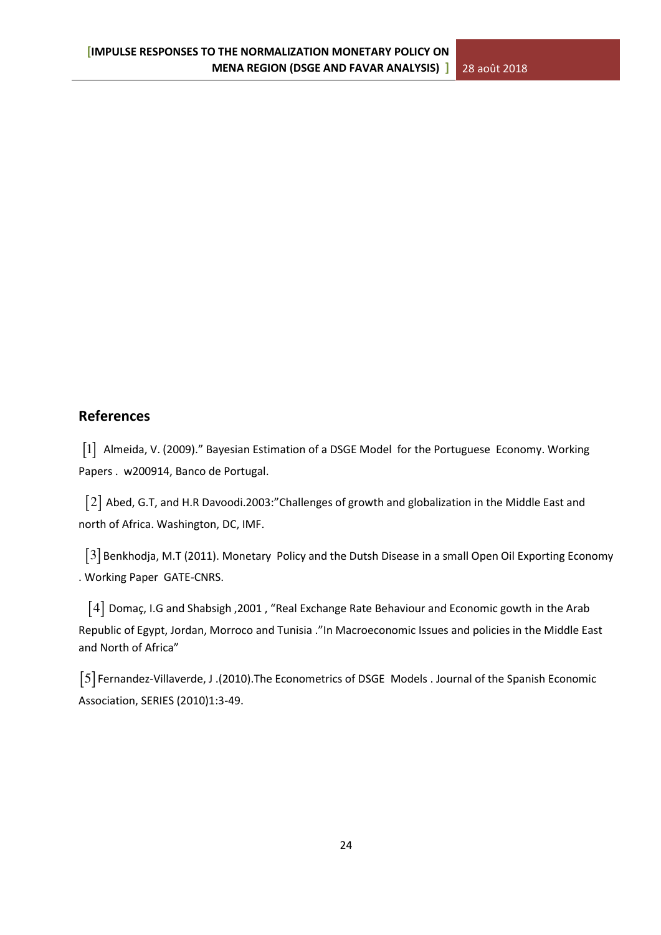# **References**

 $\begin{bmatrix} 1 \end{bmatrix}$  Almeida, V. (2009)." Bayesian Estimation of a DSGE Model for the Portuguese Economy. Working Papers . w200914, Banco de Portugal.

 2 Abed, G.T, and H.R Davoodi.2003:"Challenges of growth and globalization in the Middle East and north of Africa. Washington, DC, IMF.

 3 Benkhodja, M.T (2011). Monetary Policy and the Dutsh Disease in a small Open Oil Exporting Economy . Working Paper GATE-CNRS.

 4 Domaç, I.G and Shabsigh ,2001 , "Real Exchange Rate Behaviour and Economic gowth in the Arab Republic of Egypt, Jordan, Morroco and Tunisia ."In Macroeconomic Issues and policies in the Middle East and North of Africa"

 5 Fernandez-Villaverde, J .(2010).The Econometrics of DSGE Models . Journal of the Spanish Economic Association, SERIES (2010)1:3-49.